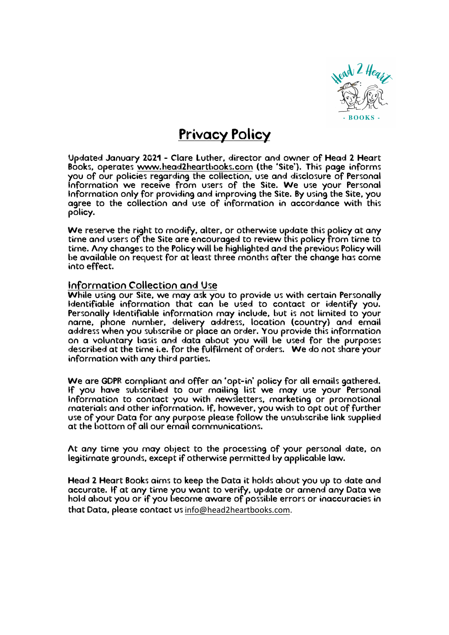

## Privacy Policy

Updated January 2021 - Clare Luther, director and owner of Head 2 Heart Books, operates www.head2heartbooks.com (the 'Site'). This page informs you of our policies regarding the collection, use and disclosure of Personal Information we receive from users of the Site. We use your Personal Information only for providing and improving the Site. By using the Site, you agree to the collection and use of information in accordance with this policy.

We reserve the right to modify, alter, or otherwise update this policy at any time and users of the Site are encouraged to review this policy from time to time. Any changes to the Policy will be highlighted and the previous Policy will be available on request for at least three months after the change has come into effect.

## Information Collection and Use

While using our Site, we may ask you to provide us with certain Personally Identifiable information that can be used to contact or identify you. Personally Identifiable information may include, but is not limited to your name, phone number, delivery address, location (country) and email address when you subscribe or place an order. You provide this information on a voluntary basis and data about you will be used for the purposes described at the time i.e. for the fulfilment of orders. We do not share your information with any third parties.

We are GDPR compliant and offer an 'opt-in' policy for all emails gathered. If you have subscribed to our mailing list we may use your Personal Information to contact you with newsletters, marketing or promotional materials and other information. If, however, you wish to opt out of further use of your Data for any purpose please follow the unsubscribe link supplied at the bottom of all our email communications.

At any time you may object to the processing of your personal date, on legitimate grounds, except if otherwise permitted by applicable law.

Head 2 Heart Books aims to keep the Data it holds about you up to date and accurate. If at any time you want to verify, update or amend any Data we hold about you or if you become aware of possible errors or inaccuracies in that Data, please contact us info@head2heartbooks.com.